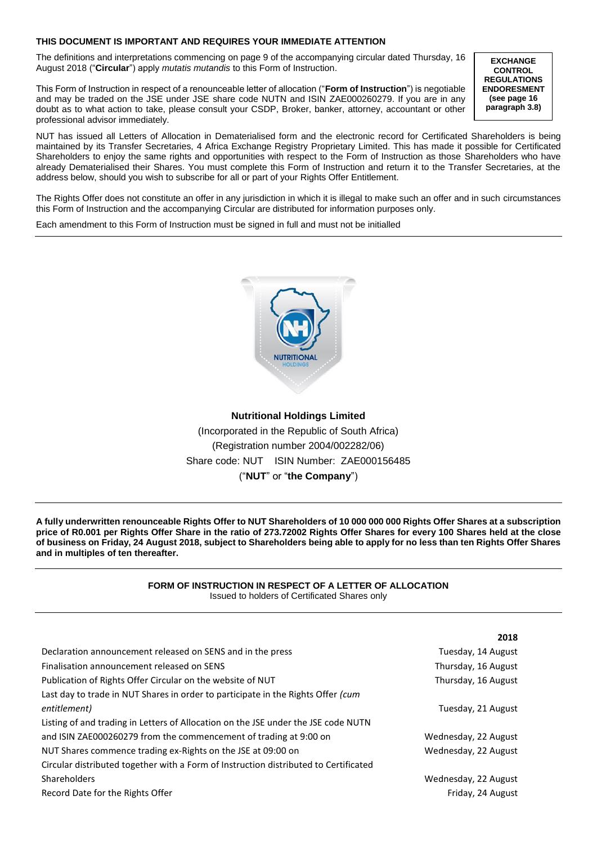# **THIS DOCUMENT IS IMPORTANT AND REQUIRES YOUR IMMEDIATE ATTENTION**

The definitions and interpretations commencing on page 9 of the accompanying circular dated Thursday, 16 August 2018 ("**Circular**") apply *mutatis mutandis* to this Form of Instruction.

This Form of Instruction in respect of a renounceable letter of allocation ("**Form of Instruction**") is negotiable and may be traded on the JSE under JSE share code NUTN and ISIN ZAE000260279. If you are in any doubt as to what action to take, please consult your CSDP, Broker, banker, attorney, accountant or other professional advisor immediately.

**EXCHANGE CONTROL REGULATIONS ENDORESMENT (see page 16 paragraph 3.8)**

**2018**

NUT has issued all Letters of Allocation in Dematerialised form and the electronic record for Certificated Shareholders is being maintained by its Transfer Secretaries, 4 Africa Exchange Registry Proprietary Limited. This has made it possible for Certificated Shareholders to enjoy the same rights and opportunities with respect to the Form of Instruction as those Shareholders who have already Dematerialised their Shares. You must complete this Form of Instruction and return it to the Transfer Secretaries, at the address below, should you wish to subscribe for all or part of your Rights Offer Entitlement.

The Rights Offer does not constitute an offer in any jurisdiction in which it is illegal to make such an offer and in such circumstances this Form of Instruction and the accompanying Circular are distributed for information purposes only.

Each amendment to this Form of Instruction must be signed in full and must not be initialled



**Nutritional Holdings Limited** (Incorporated in the Republic of South Africa) (Registration number 2004/002282/06) Share code: NUT ISIN Number: ZAE000156485 ("**NUT**" or "**the Company**")

**A fully underwritten renounceable Rights Offer to NUT Shareholders of 10 000 000 000 Rights Offer Shares at a subscription price of R0.001 per Rights Offer Share in the ratio of 273.72002 Rights Offer Shares for every 100 Shares held at the close of business on Friday, 24 August 2018, subject to Shareholders being able to apply for no less than ten Rights Offer Shares and in multiples of ten thereafter.**

### **FORM OF INSTRUCTION IN RESPECT OF A LETTER OF ALLOCATION**  Issued to holders of Certificated Shares only

|                                                                                      | 2018                 |
|--------------------------------------------------------------------------------------|----------------------|
| Declaration announcement released on SENS and in the press                           | Tuesday, 14 August   |
| Finalisation announcement released on SENS                                           | Thursday, 16 August  |
| Publication of Rights Offer Circular on the website of NUT                           | Thursday, 16 August  |
| Last day to trade in NUT Shares in order to participate in the Rights Offer (cum     |                      |
| entitlement)                                                                         | Tuesday, 21 August   |
| Listing of and trading in Letters of Allocation on the JSE under the JSE code NUTN   |                      |
| and ISIN ZAE000260279 from the commencement of trading at 9:00 on                    | Wednesday, 22 August |
| NUT Shares commence trading ex-Rights on the JSE at 09:00 on                         | Wednesday, 22 August |
| Circular distributed together with a Form of Instruction distributed to Certificated |                      |
| <b>Shareholders</b>                                                                  | Wednesday, 22 August |
| Record Date for the Rights Offer                                                     | Friday, 24 August    |
|                                                                                      |                      |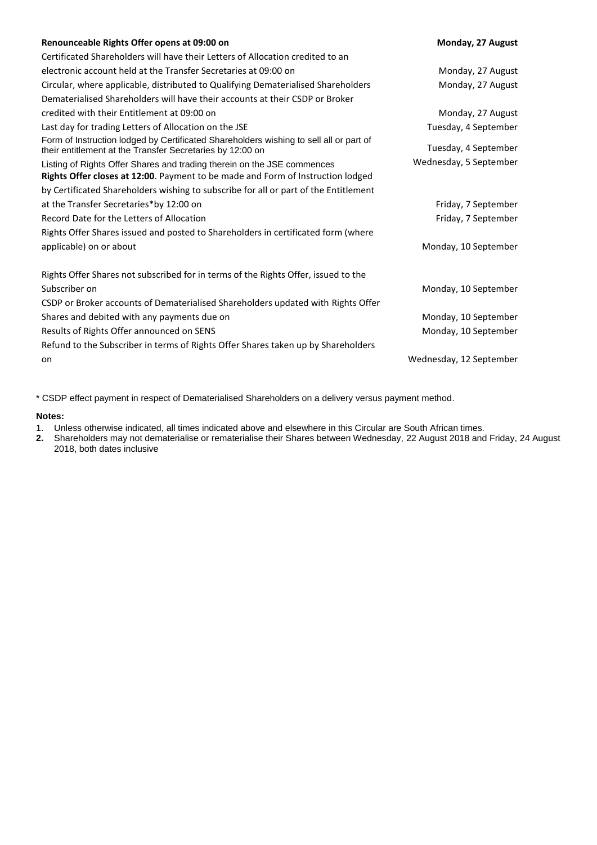| Renounceable Rights Offer opens at 09:00 on                                                                                                                | Monday, 27 August       |
|------------------------------------------------------------------------------------------------------------------------------------------------------------|-------------------------|
| Certificated Shareholders will have their Letters of Allocation credited to an                                                                             |                         |
| electronic account held at the Transfer Secretaries at 09:00 on                                                                                            | Monday, 27 August       |
| Circular, where applicable, distributed to Qualifying Dematerialised Shareholders                                                                          | Monday, 27 August       |
| Dematerialised Shareholders will have their accounts at their CSDP or Broker                                                                               |                         |
| credited with their Entitlement at 09:00 on                                                                                                                | Monday, 27 August       |
| Last day for trading Letters of Allocation on the JSE                                                                                                      | Tuesday, 4 September    |
| Form of Instruction lodged by Certificated Shareholders wishing to sell all or part of<br>their entitlement at the Transfer Secretaries by 12:00 on        | Tuesday, 4 September    |
| Listing of Rights Offer Shares and trading therein on the JSE commences<br>Rights Offer closes at 12:00. Payment to be made and Form of Instruction lodged | Wednesday, 5 September  |
| by Certificated Shareholders wishing to subscribe for all or part of the Entitlement                                                                       |                         |
| at the Transfer Secretaries*by 12:00 on                                                                                                                    | Friday, 7 September     |
| Record Date for the Letters of Allocation                                                                                                                  | Friday, 7 September     |
| Rights Offer Shares issued and posted to Shareholders in certificated form (where                                                                          |                         |
| applicable) on or about                                                                                                                                    | Monday, 10 September    |
| Rights Offer Shares not subscribed for in terms of the Rights Offer, issued to the                                                                         |                         |
| Subscriber on                                                                                                                                              | Monday, 10 September    |
| CSDP or Broker accounts of Dematerialised Shareholders updated with Rights Offer                                                                           |                         |
| Shares and debited with any payments due on                                                                                                                | Monday, 10 September    |
| Results of Rights Offer announced on SENS                                                                                                                  | Monday, 10 September    |
| Refund to the Subscriber in terms of Rights Offer Shares taken up by Shareholders                                                                          |                         |
| on                                                                                                                                                         | Wednesday, 12 September |

\* CSDP effect payment in respect of Dematerialised Shareholders on a delivery versus payment method.

# **Notes:**

- 1. Unless otherwise indicated, all times indicated above and elsewhere in this Circular are South African times.<br>2. Shareholders may not dematerialise or rematerialise their Shares between Wednesday, 22 August 2018 and
- **2.** Shareholders may not dematerialise or rematerialise their Shares between Wednesday, 22 August 2018 and Friday, 24 August 2018, both dates inclusive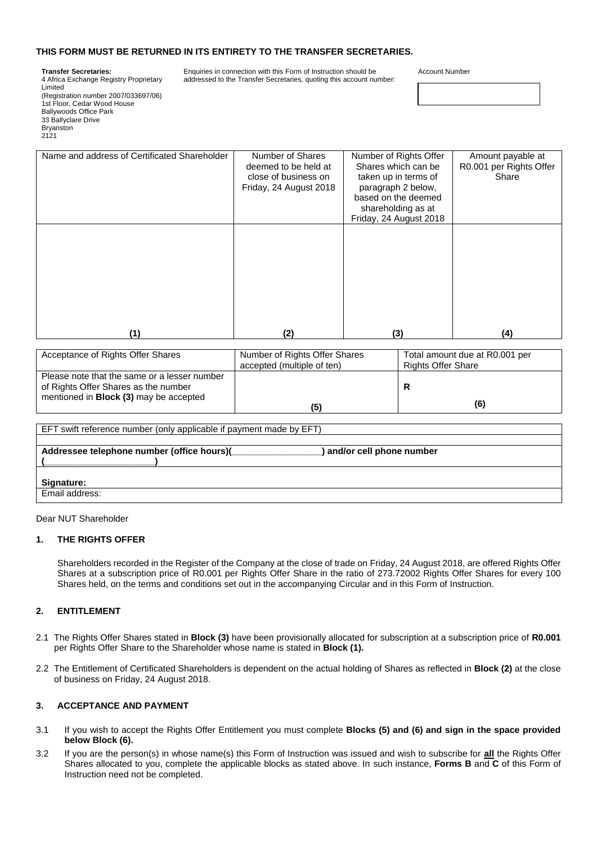# **THIS FORM MUST BE RETURNED IN ITS ENTIRETY TO THE TRANSFER SECRETARIES.**

#### **Transfer Secretaries:**

4 Africa Exchange Registry Proprietary Limited (Registration number 2007/033697/06) 1st Floor, Cedar Wood House Ballywoods Office Park 33 Ballyclare Drive Bryanston 2121

Enquiries in connection with this Form of Instruction should be addressed to the Transfer Secretaries, quoting this account number: Account Number

| Name and address of Certificated Shareholder | Number of Shares<br>deemed to be held at<br>close of business on<br>Friday, 24 August 2018 | Number of Rights Offer<br>Shares which can be<br>taken up in terms of<br>paragraph 2 below,<br>based on the deemed<br>shareholding as at<br>Friday, 24 August 2018 | Amount payable at<br>R0.001 per Rights Offer<br>Share |
|----------------------------------------------|--------------------------------------------------------------------------------------------|--------------------------------------------------------------------------------------------------------------------------------------------------------------------|-------------------------------------------------------|
|                                              |                                                                                            |                                                                                                                                                                    |                                                       |
| (1)                                          | (2)                                                                                        | (3)                                                                                                                                                                | (4)                                                   |

| Acceptance of Rights Offer Shares                                                    | Number of Rights Offer Shares | Total amount due at R0.001 per |
|--------------------------------------------------------------------------------------|-------------------------------|--------------------------------|
|                                                                                      | accepted (multiple of ten)    | <b>Rights Offer Share</b>      |
| Please note that the same or a lesser number<br>of Rights Offer Shares as the number |                               |                                |
| mentioned in <b>Block (3)</b> may be accepted                                        |                               |                                |
|                                                                                      | (5)                           | (6)                            |

| EFT swift reference number (only applicable if payment made by EFT) |  |  |
|---------------------------------------------------------------------|--|--|
|                                                                     |  |  |
| and/or cell phone number                                            |  |  |
|                                                                     |  |  |
|                                                                     |  |  |
|                                                                     |  |  |
|                                                                     |  |  |
|                                                                     |  |  |

### Dear NUT Shareholder

### **1. THE RIGHTS OFFER**

Shareholders recorded in the Register of the Company at the close of trade on Friday, 24 August 2018, are offered Rights Offer Shares at a subscription price of R0.001 per Rights Offer Share in the ratio of 273.72002 Rights Offer Shares for every 100 Shares held, on the terms and conditions set out in the accompanying Circular and in this Form of Instruction.

# **2. ENTITLEMENT**

- 2.1 The Rights Offer Shares stated in **Block (3)** have been provisionally allocated for subscription at a subscription price of **R0.001** per Rights Offer Share to the Shareholder whose name is stated in **Block (1).**
- 2.2 The Entitlement of Certificated Shareholders is dependent on the actual holding of Shares as reflected in **Block (2)** at the close of business on Friday, 24 August 2018.

### **3. ACCEPTANCE AND PAYMENT**

- 3.1 If you wish to accept the Rights Offer Entitlement you must complete **Blocks (5) and (6) and sign in the space provided below Block (6).**
- 3.2 If you are the person(s) in whose name(s) this Form of Instruction was issued and wish to subscribe for **all** the Rights Offer Shares allocated to you, complete the applicable blocks as stated above. In such instance, **Forms B** and **C** of this Form of Instruction need not be completed.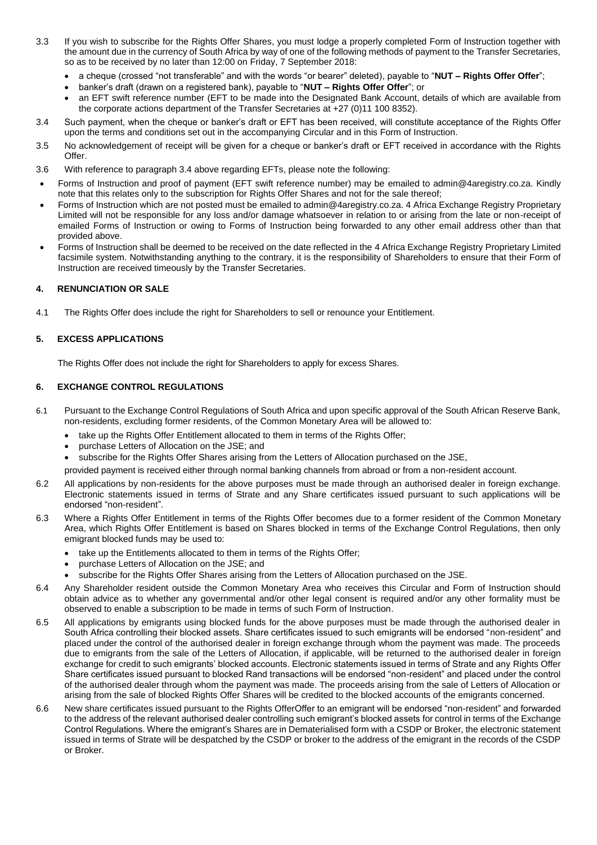- 3.3 If you wish to subscribe for the Rights Offer Shares, you must lodge a properly completed Form of Instruction together with the amount due in the currency of South Africa by way of one of the following methods of payment to the Transfer Secretaries, so as to be received by no later than 12:00 on Friday, 7 September 2018:
	- a cheque (crossed "not transferable" and with the words "or bearer" deleted), payable to "**NUT – Rights Offer Offer**";
	- banker's draft (drawn on a registered bank), payable to "**NUT – Rights Offer Offer**"; or
	- an EFT swift reference number (EFT to be made into the Designated Bank Account, details of which are available from the corporate actions department of the Transfer Secretaries at +27 (0)11 100 8352).
- 3.4 Such payment, when the cheque or banker's draft or EFT has been received, will constitute acceptance of the Rights Offer upon the terms and conditions set out in the accompanying Circular and in this Form of Instruction.
- 3.5 No acknowledgement of receipt will be given for a cheque or banker's draft or EFT received in accordance with the Rights Offer.
- 3.6 With reference to paragraph 3.4 above regarding EFTs, please note the following:
- Forms of Instruction and proof of payment (EFT swift reference number) may be emailed to admin@4aregistry.co.za. Kindly note that this relates only to the subscription for Rights Offer Shares and not for the sale thereof;
- Forms of Instruction which are not posted must be emailed to admin@4aregistry.co.za. 4 Africa Exchange Registry Proprietary Limited will not be responsible for any loss and/or damage whatsoever in relation to or arising from the late or non-receipt of emailed Forms of Instruction or owing to Forms of Instruction being forwarded to any other email address other than that provided above.
- Forms of Instruction shall be deemed to be received on the date reflected in the 4 Africa Exchange Registry Proprietary Limited facsimile system. Notwithstanding anything to the contrary, it is the responsibility of Shareholders to ensure that their Form of Instruction are received timeously by the Transfer Secretaries.

### **4. RENUNCIATION OR SALE**

4.1 The Rights Offer does include the right for Shareholders to sell or renounce your Entitlement.

# **5. EXCESS APPLICATIONS**

The Rights Offer does not include the right for Shareholders to apply for excess Shares.

### **6. EXCHANGE CONTROL REGULATIONS**

- 6.1 Pursuant to the Exchange Control Regulations of South Africa and upon specific approval of the South African Reserve Bank, non-residents, excluding former residents, of the Common Monetary Area will be allowed to:
	- take up the Rights Offer Entitlement allocated to them in terms of the Rights Offer;
	- purchase Letters of Allocation on the JSE; and
	- subscribe for the Rights Offer Shares arising from the Letters of Allocation purchased on the JSE,
	- provided payment is received either through normal banking channels from abroad or from a non-resident account.
- 6.2 All applications by non-residents for the above purposes must be made through an authorised dealer in foreign exchange. Electronic statements issued in terms of Strate and any Share certificates issued pursuant to such applications will be endorsed "non-resident".
- 6.3 Where a Rights Offer Entitlement in terms of the Rights Offer becomes due to a former resident of the Common Monetary Area, which Rights Offer Entitlement is based on Shares blocked in terms of the Exchange Control Regulations, then only emigrant blocked funds may be used to:
	- take up the Entitlements allocated to them in terms of the Rights Offer;
	- purchase Letters of Allocation on the JSE; and
	- subscribe for the Rights Offer Shares arising from the Letters of Allocation purchased on the JSE.
- 6.4 Any Shareholder resident outside the Common Monetary Area who receives this Circular and Form of Instruction should obtain advice as to whether any governmental and/or other legal consent is required and/or any other formality must be observed to enable a subscription to be made in terms of such Form of Instruction.
- 6.5 All applications by emigrants using blocked funds for the above purposes must be made through the authorised dealer in South Africa controlling their blocked assets. Share certificates issued to such emigrants will be endorsed "non-resident" and placed under the control of the authorised dealer in foreign exchange through whom the payment was made. The proceeds due to emigrants from the sale of the Letters of Allocation, if applicable, will be returned to the authorised dealer in foreign exchange for credit to such emigrants' blocked accounts. Electronic statements issued in terms of Strate and any Rights Offer Share certificates issued pursuant to blocked Rand transactions will be endorsed "non-resident" and placed under the control of the authorised dealer through whom the payment was made. The proceeds arising from the sale of Letters of Allocation or arising from the sale of blocked Rights Offer Shares will be credited to the blocked accounts of the emigrants concerned.
- 6.6 New share certificates issued pursuant to the Rights OfferOffer to an emigrant will be endorsed "non-resident" and forwarded to the address of the relevant authorised dealer controlling such emigrant's blocked assets for control in terms of the Exchange Control Regulations. Where the emigrant's Shares are in Dematerialised form with a CSDP or Broker, the electronic statement issued in terms of Strate will be despatched by the CSDP or broker to the address of the emigrant in the records of the CSDP or Broker.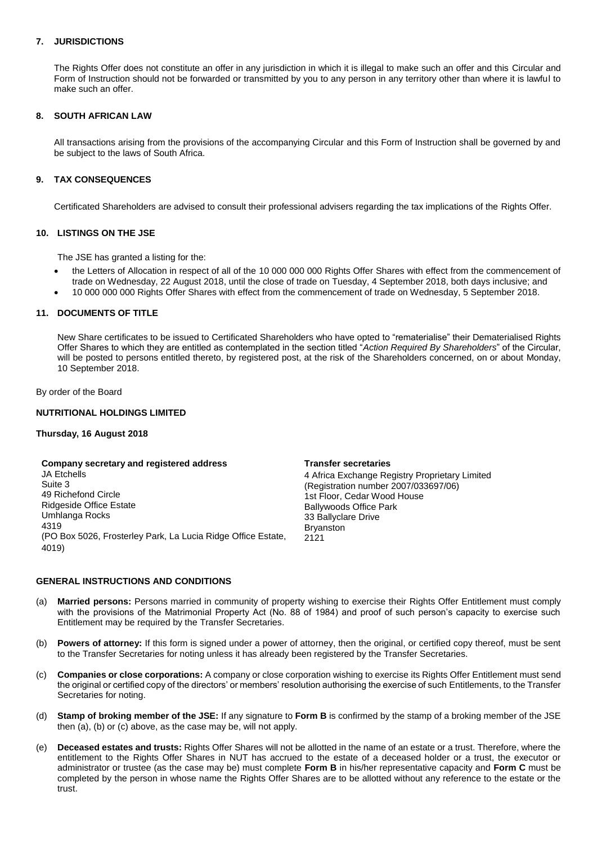# **7. JURISDICTIONS**

The Rights Offer does not constitute an offer in any jurisdiction in which it is illegal to make such an offer and this Circular and Form of Instruction should not be forwarded or transmitted by you to any person in any territory other than where it is lawful to make such an offer.

# **8. SOUTH AFRICAN LAW**

All transactions arising from the provisions of the accompanying Circular and this Form of Instruction shall be governed by and be subject to the laws of South Africa.

# **9. TAX CONSEQUENCES**

Certificated Shareholders are advised to consult their professional advisers regarding the tax implications of the Rights Offer.

### **10. LISTINGS ON THE JSE**

The JSE has granted a listing for the:

- the Letters of Allocation in respect of all of the 10 000 000 000 Rights Offer Shares with effect from the commencement of trade on Wednesday, 22 August 2018, until the close of trade on Tuesday, 4 September 2018, both days inclusive; and
- 10 000 000 000 Rights Offer Shares with effect from the commencement of trade on Wednesday, 5 September 2018.

# **11. DOCUMENTS OF TITLE**

New Share certificates to be issued to Certificated Shareholders who have opted to "rematerialise" their Dematerialised Rights Offer Shares to which they are entitled as contemplated in the section titled "*Action Required By Shareholders*" of the Circular, will be posted to persons entitled thereto, by registered post, at the risk of the Shareholders concerned, on or about Monday, 10 September 2018.

By order of the Board

# **NUTRITIONAL HOLDINGS LIMITED**

### **Thursday, 16 August 2018**

#### **Company secretary and registered address**

JA Etchells Suite 3 49 Richefond Circle Ridgeside Office Estate Umhlanga Rocks 4319 (PO Box 5026, Frosterley Park, La Lucia Ridge Office Estate, 4019)

#### **Transfer secretaries**

4 Africa Exchange Registry Proprietary Limited (Registration number 2007/033697/06) 1st Floor, Cedar Wood House Ballywoods Office Park 33 Ballyclare Drive Bryanston 2121

## **GENERAL INSTRUCTIONS AND CONDITIONS**

- (a) **Married persons:** Persons married in community of property wishing to exercise their Rights Offer Entitlement must comply with the provisions of the Matrimonial Property Act (No. 88 of 1984) and proof of such person's capacity to exercise such Entitlement may be required by the Transfer Secretaries.
- (b) **Powers of attorney:** If this form is signed under a power of attorney, then the original, or certified copy thereof, must be sent to the Transfer Secretaries for noting unless it has already been registered by the Transfer Secretaries.
- (c) **Companies or close corporations:** A company or close corporation wishing to exercise its Rights Offer Entitlement must send the original or certified copy of the directors' or members' resolution authorising the exercise of such Entitlements, to the Transfer Secretaries for noting.
- (d) **Stamp of broking member of the JSE:** If any signature to **Form B** is confirmed by the stamp of a broking member of the JSE then (a), (b) or (c) above, as the case may be, will not apply.
- (e) **Deceased estates and trusts:** Rights Offer Shares will not be allotted in the name of an estate or a trust. Therefore, where the entitlement to the Rights Offer Shares in NUT has accrued to the estate of a deceased holder or a trust, the executor or administrator or trustee (as the case may be) must complete **Form B** in his/her representative capacity and **Form C** must be completed by the person in whose name the Rights Offer Shares are to be allotted without any reference to the estate or the trust.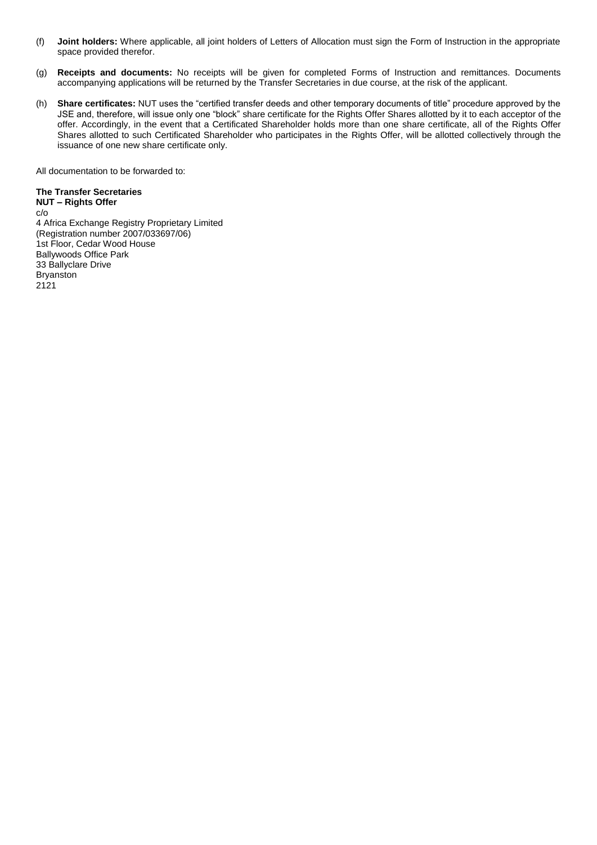- (f) **Joint holders:** Where applicable, all joint holders of Letters of Allocation must sign the Form of Instruction in the appropriate space provided therefor.
- (g) **Receipts and documents:** No receipts will be given for completed Forms of Instruction and remittances. Documents accompanying applications will be returned by the Transfer Secretaries in due course, at the risk of the applicant.
- (h) **Share certificates:** NUT uses the "certified transfer deeds and other temporary documents of title" procedure approved by the JSE and, therefore, will issue only one "block" share certificate for the Rights Offer Shares allotted by it to each acceptor of the offer. Accordingly, in the event that a Certificated Shareholder holds more than one share certificate, all of the Rights Offer Shares allotted to such Certificated Shareholder who participates in the Rights Offer, will be allotted collectively through the issuance of one new share certificate only.

All documentation to be forwarded to:

# **The Transfer Secretaries**

**NUT – Rights Offer** c/o 4 Africa Exchange Registry Proprietary Limited (Registration number 2007/033697/06) 1st Floor, Cedar Wood House Ballywoods Office Park 33 Ballyclare Drive Bryanston 2121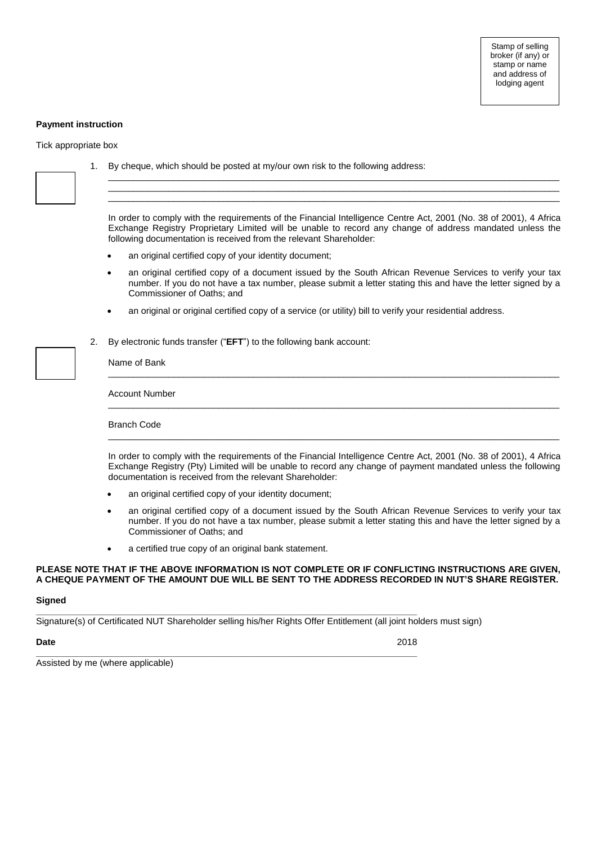# **Payment instruction**

Tick appropriate box

|    | 1. By cheque, which should be posted at my/our own risk to the following address:                                                                                                                                                                                                                                                                                                                                                                                                                                                                                                         |  |  |
|----|-------------------------------------------------------------------------------------------------------------------------------------------------------------------------------------------------------------------------------------------------------------------------------------------------------------------------------------------------------------------------------------------------------------------------------------------------------------------------------------------------------------------------------------------------------------------------------------------|--|--|
|    | In order to comply with the requirements of the Financial Intelligence Centre Act, 2001 (No. 38 of 2001), 4 Africa<br>Exchange Registry Proprietary Limited will be unable to record any change of address mandated unless the<br>following documentation is received from the relevant Shareholder:<br>an original certified copy of your identity document;<br>an original certified copy of a document issued by the South African Revenue Services to verify your tax<br>number. If you do not have a tax number, please submit a letter stating this and have the letter signed by a |  |  |
|    | Commissioner of Oaths; and<br>an original or original certified copy of a service (or utility) bill to verify your residential address.<br>$\bullet$                                                                                                                                                                                                                                                                                                                                                                                                                                      |  |  |
| 2. | By electronic funds transfer ("EFT") to the following bank account:<br>Name of Bank                                                                                                                                                                                                                                                                                                                                                                                                                                                                                                       |  |  |
|    | <b>Account Number</b>                                                                                                                                                                                                                                                                                                                                                                                                                                                                                                                                                                     |  |  |
|    | <b>Branch Code</b>                                                                                                                                                                                                                                                                                                                                                                                                                                                                                                                                                                        |  |  |
|    | In order to comply with the requirements of the Financial Intelligence Centre Act, 2001 (No. 38 of 2001), 4 Africa<br>Exchange Registry (Pty) Limited will be unable to record any change of payment mandated unless the following<br>documentation is received from the relevant Shareholder:                                                                                                                                                                                                                                                                                            |  |  |
|    | an original certified copy of your identity document;                                                                                                                                                                                                                                                                                                                                                                                                                                                                                                                                     |  |  |
|    | an original certified copy of a document issued by the South African Revenue Services to verify your tax<br>$\bullet$<br>number. If you do not have a tax number, please submit a letter stating this and have the letter signed by a<br>Commissioner of Oaths; and                                                                                                                                                                                                                                                                                                                       |  |  |
|    | a certified true copy of an original bank statement.<br>$\bullet$                                                                                                                                                                                                                                                                                                                                                                                                                                                                                                                         |  |  |
|    | PLEASE NOTE THAT IF THE ABOVE INFORMATION IS NOT COMPLETE OR IF CONFLICTING INSTRUCTIONS ARE GIVEN,<br>A CHEQUE PAYMENT OF THE AMOUNT DUE WILL BE SENT TO THE ADDRESS RECORDED IN NUT'S SHARE REGISTER.                                                                                                                                                                                                                                                                                                                                                                                   |  |  |

# **Signed**

Signature(s) of Certificated NUT Shareholder selling his/her Rights Offer Entitlement (all joint holders must sign)

**\_\_\_\_\_\_\_\_\_\_\_\_\_\_\_\_\_\_\_\_\_\_\_\_\_\_\_\_\_\_\_\_\_\_\_\_\_\_\_\_\_\_\_\_\_\_\_\_\_\_\_\_\_\_\_\_\_\_\_\_\_\_\_\_\_\_\_\_\_\_\_\_\_\_\_\_**

**Date** 2018

**\_\_\_\_\_\_\_\_\_\_\_\_\_\_\_\_\_\_\_\_\_\_\_\_\_\_\_\_\_\_\_\_\_\_\_\_\_\_\_\_\_\_\_\_\_\_\_\_\_\_\_\_\_\_\_\_\_\_\_\_\_\_\_\_\_\_\_\_\_\_\_\_\_\_\_\_** Assisted by me (where applicable)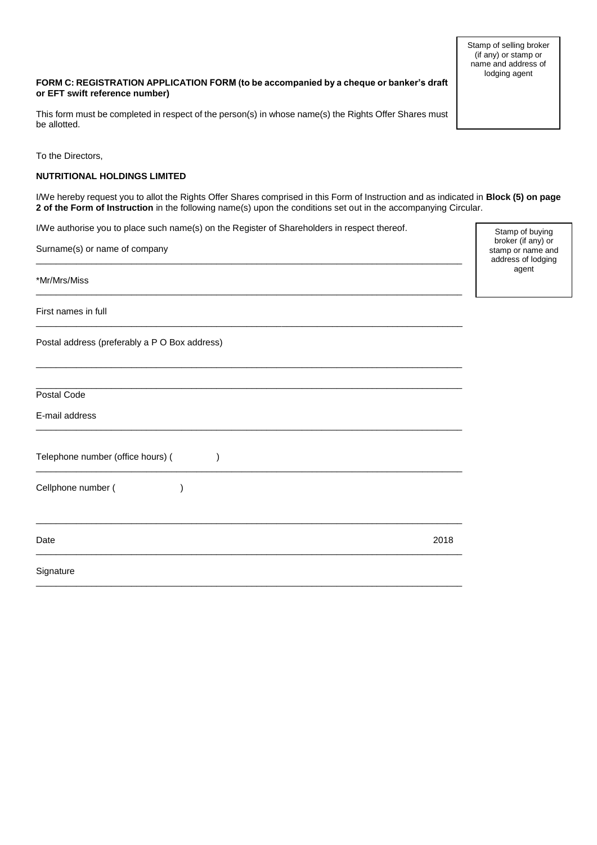Stamp of selling broker (if any) or stamp or name and address of lodging agent

# **FORM C: REGISTRATION APPLICATION FORM (to be accompanied by a cheque or banker's draft or EFT swift reference number)**

This form must be completed in respect of the person(s) in whose name(s) the Rights Offer Shares must be allotted.

To the Directors,

# **NUTRITIONAL HOLDINGS LIMITED**

I/We hereby request you to allot the Rights Offer Shares comprised in this Form of Instruction and as indicated in **Block (5) on page 2 of the Form of Instruction** in the following name(s) upon the conditions set out in the accompanying Circular.

I/We authorise you to place such name(s) on the Register of Shareholders in respect thereof.

 $\_$  ,  $\_$  ,  $\_$  ,  $\_$  ,  $\_$  ,  $\_$  ,  $\_$  ,  $\_$  ,  $\_$  ,  $\_$  ,  $\_$  ,  $\_$  ,  $\_$  ,  $\_$  ,  $\_$  ,  $\_$  ,  $\_$  ,  $\_$  ,  $\_$  ,  $\_$  ,  $\_$  ,  $\_$  ,  $\_$  ,  $\_$  ,  $\_$  ,  $\_$  ,  $\_$  ,  $\_$  ,  $\_$  ,  $\_$  ,  $\_$  ,  $\_$  ,  $\_$  ,  $\_$  ,  $\_$  ,  $\_$  ,  $\_$  ,

 $\_$  ,  $\_$  ,  $\_$  ,  $\_$  ,  $\_$  ,  $\_$  ,  $\_$  ,  $\_$  ,  $\_$  ,  $\_$  ,  $\_$  ,  $\_$  ,  $\_$  ,  $\_$  ,  $\_$  ,  $\_$  ,  $\_$  ,  $\_$  ,  $\_$  ,  $\_$  ,  $\_$  ,  $\_$  ,  $\_$  ,  $\_$  ,  $\_$  ,  $\_$  ,  $\_$  ,  $\_$  ,  $\_$  ,  $\_$  ,  $\_$  ,  $\_$  ,  $\_$  ,  $\_$  ,  $\_$  ,  $\_$  ,  $\_$  ,

 $\_$  ,  $\_$  ,  $\_$  ,  $\_$  ,  $\_$  ,  $\_$  ,  $\_$  ,  $\_$  ,  $\_$  ,  $\_$  ,  $\_$  ,  $\_$  ,  $\_$  ,  $\_$  ,  $\_$  ,  $\_$  ,  $\_$  ,  $\_$  ,  $\_$  ,  $\_$  ,  $\_$  ,  $\_$  ,  $\_$  ,  $\_$  ,  $\_$  ,  $\_$  ,  $\_$  ,  $\_$  ,  $\_$  ,  $\_$  ,  $\_$  ,  $\_$  ,  $\_$  ,  $\_$  ,  $\_$  ,  $\_$  ,  $\_$  ,

 $\_$  ,  $\_$  ,  $\_$  ,  $\_$  ,  $\_$  ,  $\_$  ,  $\_$  ,  $\_$  ,  $\_$  ,  $\_$  ,  $\_$  ,  $\_$  ,  $\_$  ,  $\_$  ,  $\_$  ,  $\_$  ,  $\_$  ,  $\_$  ,  $\_$  ,  $\_$  ,  $\_$  ,  $\_$  ,  $\_$  ,  $\_$  ,  $\_$  ,  $\_$  ,  $\_$  ,  $\_$  ,  $\_$  ,  $\_$  ,  $\_$  ,  $\_$  ,  $\_$  ,  $\_$  ,  $\_$  ,  $\_$  ,  $\_$  ,

Surname(s) or name of company

\*Mr/Mrs/Miss

First names in full

Postal address (preferably a P O Box address)

| Postal Code                       |      |
|-----------------------------------|------|
| E-mail address                    |      |
| Telephone number (office hours) ( |      |
| Cellphone number (                |      |
| Date                              | 2018 |
| Signature                         |      |

Stamp of buying broker (if any) or stamp or name and address of lodging agent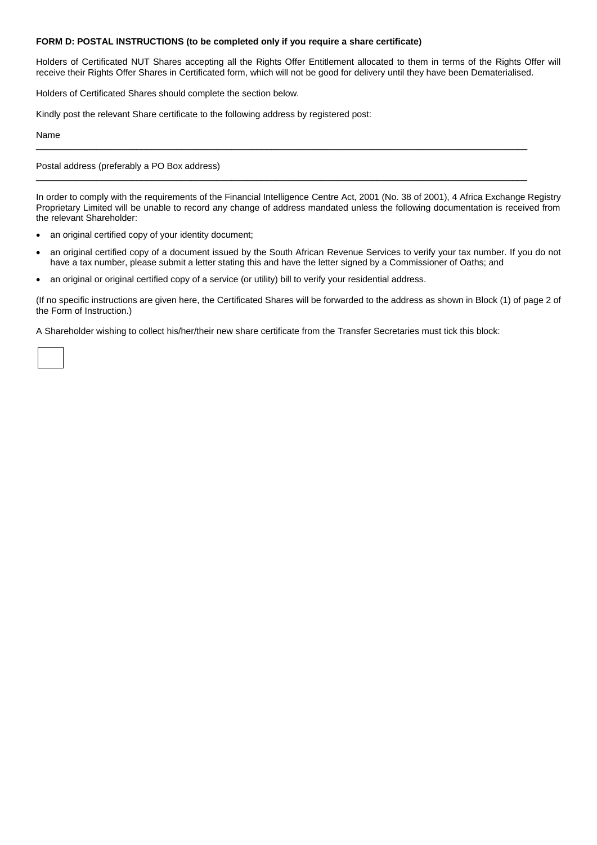# **FORM D: POSTAL INSTRUCTIONS (to be completed only if you require a share certificate)**

Holders of Certificated NUT Shares accepting all the Rights Offer Entitlement allocated to them in terms of the Rights Offer will receive their Rights Offer Shares in Certificated form, which will not be good for delivery until they have been Dematerialised.

Holders of Certificated Shares should complete the section below.

Kindly post the relevant Share certificate to the following address by registered post:

Name

Postal address (preferably a PO Box address)

In order to comply with the requirements of the Financial Intelligence Centre Act, 2001 (No. 38 of 2001), 4 Africa Exchange Registry Proprietary Limited will be unable to record any change of address mandated unless the following documentation is received from the relevant Shareholder:

 $\_$  ,  $\_$  ,  $\_$  ,  $\_$  ,  $\_$  ,  $\_$  ,  $\_$  ,  $\_$  ,  $\_$  ,  $\_$  ,  $\_$  ,  $\_$  ,  $\_$  ,  $\_$  ,  $\_$  ,  $\_$  ,  $\_$  ,  $\_$  ,  $\_$  ,  $\_$  ,  $\_$  ,  $\_$  ,  $\_$  ,  $\_$  ,  $\_$  ,  $\_$  ,  $\_$  ,  $\_$  ,  $\_$  ,  $\_$  ,  $\_$  ,  $\_$  ,  $\_$  ,  $\_$  ,  $\_$  ,  $\_$  ,  $\_$  ,

 $\_$  ,  $\_$  ,  $\_$  ,  $\_$  ,  $\_$  ,  $\_$  ,  $\_$  ,  $\_$  ,  $\_$  ,  $\_$  ,  $\_$  ,  $\_$  ,  $\_$  ,  $\_$  ,  $\_$  ,  $\_$  ,  $\_$  ,  $\_$  ,  $\_$  ,  $\_$  ,  $\_$  ,  $\_$  ,  $\_$  ,  $\_$  ,  $\_$  ,  $\_$  ,  $\_$  ,  $\_$  ,  $\_$  ,  $\_$  ,  $\_$  ,  $\_$  ,  $\_$  ,  $\_$  ,  $\_$  ,  $\_$  ,  $\_$  ,

- an original certified copy of your identity document;
- an original certified copy of a document issued by the South African Revenue Services to verify your tax number. If you do not have a tax number, please submit a letter stating this and have the letter signed by a Commissioner of Oaths; and
- an original or original certified copy of a service (or utility) bill to verify your residential address.

(If no specific instructions are given here, the Certificated Shares will be forwarded to the address as shown in Block (1) of page 2 of the Form of Instruction.)

A Shareholder wishing to collect his/her/their new share certificate from the Transfer Secretaries must tick this block: